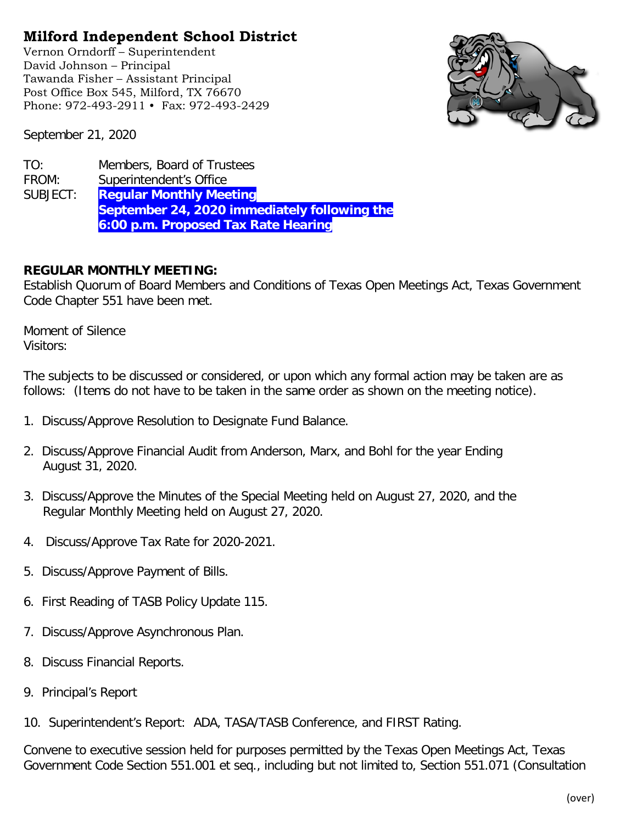## **Milford Independent School District**

Vernon Orndorff – Superintendent David Johnson – Principal Tawanda Fisher – Assistant Principal Post Office Box 545, Milford, TX 76670 Phone: 972-493-2911 • Fax: 972-493-2429



September 21, 2020

| TO:      | Members, Board of Trustees                   |
|----------|----------------------------------------------|
| FROM:    | Superintendent's Office                      |
| SUBJECT: | <b>Regular Monthly Meeting</b>               |
|          | September 24, 2020 immediately following the |
|          | 6:00 p.m. Proposed Tax Rate Hearing          |

## **REGULAR MONTHLY MEETING:**

Establish Quorum of Board Members and Conditions of Texas Open Meetings Act, Texas Government Code Chapter 551 have been met.

Moment of Silence Visitors:

The subjects to be discussed or considered, or upon which any formal action may be taken are as follows: (Items do not have to be taken in the same order as shown on the meeting notice).

- 1. Discuss/Approve Resolution to Designate Fund Balance.
- 2. Discuss/Approve Financial Audit from Anderson, Marx, and Bohl for the year Ending August 31, 2020.
- 3. Discuss/Approve the Minutes of the Special Meeting held on August 27, 2020, and the Regular Monthly Meeting held on August 27, 2020.
- 4. Discuss/Approve Tax Rate for 2020-2021.
- 5. Discuss/Approve Payment of Bills.
- 6. First Reading of TASB Policy Update 115.
- 7. Discuss/Approve Asynchronous Plan.
- 8. Discuss Financial Reports.
- 9. Principal's Report
- 10. Superintendent's Report: ADA, TASA/TASB Conference, and FIRST Rating.

Convene to executive session held for purposes permitted by the Texas Open Meetings Act, Texas Government Code Section 551.001 et seq., including but not limited to, Section 551.071 (Consultation